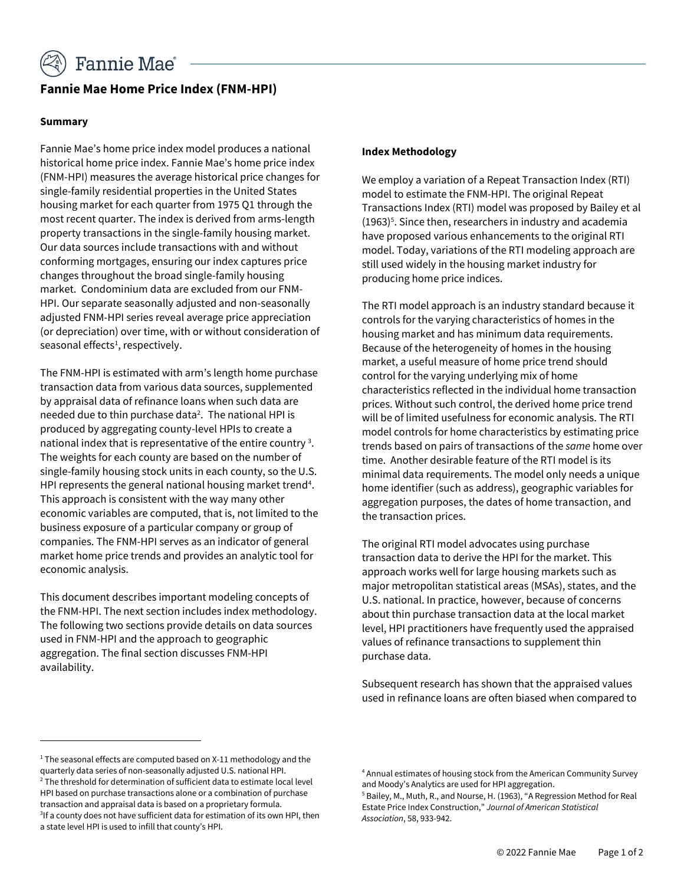

# **Fannie Mae Home Price Index (FNM-HPI)**

### **Summary**

Fannie Mae's home price index model produces a national historical home price index. Fannie Mae's home price index (FNM-HPI) measures the average historical price changes for single-family residential properties in the United States housing market for each quarter from 1975 Q1 through the most recent quarter. The index is derived from arms-length property transactions in the single-family housing market. Our data sources include transactions with and without conforming mortgages, ensuring our index captures price changes throughout the broad single-family housing market. Condominium data are excluded from our FNM-HPI. Our separate seasonally adjusted and non-seasonally adjusted FNM-HPI series reveal average price appreciation (or depreciation) over time, with or without consideration of seasonal effects<sup>1</sup>, respectively.

The FNM-HPI is estimated with arm's length home purchase transaction data from various data sources, supplemented by appraisal data of refinance loans when such data are needed due to thin purchase data<sup>2</sup>. The national HPI is produced by aggregating county-level HPIs to create a national index that is representative of the entire country<sup>3</sup>. The weights for each county are based on the number of single-family housing stock units in each county, so the U.S. HPI represents the general national housing market trend<sup>4</sup>. This approach is consistent with the way many other economic variables are computed, that is, not limited to the business exposure of a particular company or group of companies. The FNM-HPI serves as an indicator of general market home price trends and provides an analytic tool for economic analysis.

This document describes important modeling concepts of the FNM-HPI. The next section includes index methodology. The following two sections provide details on data sources used in FNM-HPI and the approach to geographic aggregation. The final section discusses FNM-HPI availability.

### **Index Methodology**

We employ a variation of a Repeat Transaction Index (RTI) model to estimate the FNM-HPI. The original Repeat Transactions Index (RTI) model was proposed by Bailey et al  $(1963)^5$ . Since then, researchers in industry and academia have proposed various enhancements to the original RTI model. Today, variations of the RTI modeling approach are still used widely in the housing market industry for producing home price indices.

The RTI model approach is an industry standard because it controls for the varying characteristics of homes in the housing market and has minimum data requirements. Because of the heterogeneity of homes in the housing market, a useful measure of home price trend should control for the varying underlying mix of home characteristics reflected in the individual home transaction prices. Without such control, the derived home price trend will be of limited usefulness for economic analysis. The RTI model controls for home characteristics by estimating price trends based on pairs of transactions of the *same* home over time. Another desirable feature of the RTI model is its minimal data requirements. The model only needs a unique home identifier (such as address), geographic variables for aggregation purposes, the dates of home transaction, and the transaction prices.

The original RTI model advocates using purchase transaction data to derive the HPI for the market. This approach works well for large housing markets such as major metropolitan statistical areas (MSAs), states, and the U.S. national. In practice, however, because of concerns about thin purchase transaction data at the local market level, HPI practitioners have frequently used the appraised values of refinance transactions to supplement thin purchase data.

Subsequent research has shown that the appraised values used in refinance loans are often biased when compared to

 $1$  The seasonal effects are computed based on X-11 methodology and the quarterly data series of non-seasonally adjusted U.S. national HPI.  $2$  The threshold for determination of sufficient data to estimate local level HPI based on purchase transactions alone or a combination of purchase transaction and appraisal data is based on a proprietary formula. <sup>3</sup>If a county does not have sufficient data for estimation of its own HPI, then a state level HPI is used to infill that county's HPI.

<sup>4</sup> Annual estimates of housing stock from the American Community Survey and Moody's Analytics are used for HPI aggregation.

<sup>5</sup> Bailey, M., Muth, R., and Nourse, H. (1963), "A Regression Method for Real Estate Price Index Construction," *Journal of American Statistical Association*, 58, 933-942.